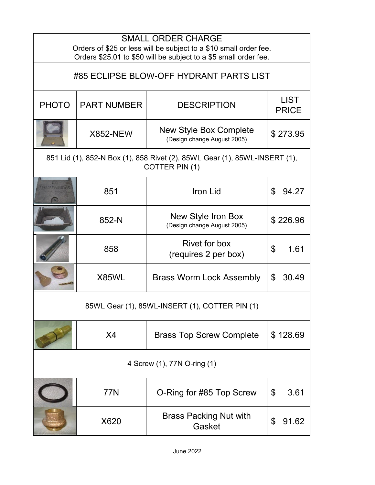| <b>SMALL ORDER CHARGE</b><br>Orders of \$25 or less will be subject to a \$10 small order fee.<br>Orders \$25.01 to \$50 will be subject to a \$5 small order fee. |                                                                                              |                                                              |                             |  |
|--------------------------------------------------------------------------------------------------------------------------------------------------------------------|----------------------------------------------------------------------------------------------|--------------------------------------------------------------|-----------------------------|--|
| #85 ECLIPSE BLOW-OFF HYDRANT PARTS LIST                                                                                                                            |                                                                                              |                                                              |                             |  |
| <b>PHOTO</b>                                                                                                                                                       | <b>PART NUMBER</b>                                                                           | <b>DESCRIPTION</b>                                           | <b>LIST</b><br><b>PRICE</b> |  |
|                                                                                                                                                                    | <b>X852-NEW</b>                                                                              | <b>New Style Box Complete</b><br>(Design change August 2005) | \$273.95                    |  |
|                                                                                                                                                                    | 851 Lid (1), 852-N Box (1), 858 Rivet (2), 85WL Gear (1), 85WL-INSERT (1),<br>COTTER PIN (1) |                                                              |                             |  |
|                                                                                                                                                                    | 851                                                                                          | Iron Lid                                                     | \$<br>94.27                 |  |
|                                                                                                                                                                    | 852-N                                                                                        | New Style Iron Box<br>(Design change August 2005)            | \$226.96                    |  |
|                                                                                                                                                                    | 858                                                                                          | Rivet for box<br>(requires 2 per box)                        | \$<br>1.61                  |  |
|                                                                                                                                                                    | X85WL                                                                                        | <b>Brass Worm Lock Assembly</b>                              | \$<br>30.49                 |  |
| 85WL Gear (1), 85WL-INSERT (1), COTTER PIN (1)                                                                                                                     |                                                                                              |                                                              |                             |  |
|                                                                                                                                                                    | X4                                                                                           | <b>Brass Top Screw Complete</b>                              | \$128.69                    |  |
| 4 Screw (1), 77N O-ring (1)                                                                                                                                        |                                                                                              |                                                              |                             |  |
|                                                                                                                                                                    | 77N                                                                                          | O-Ring for #85 Top Screw                                     | \$<br>3.61                  |  |
|                                                                                                                                                                    | X620                                                                                         | <b>Brass Packing Nut with</b><br>Gasket                      | \$<br>91.62                 |  |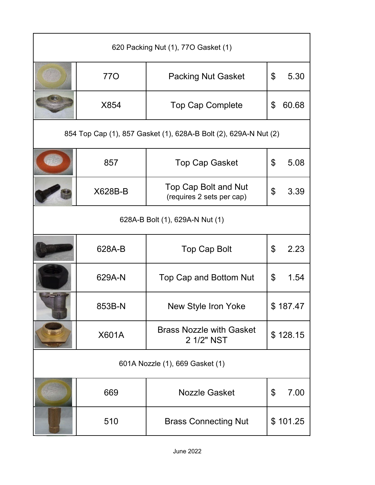| 620 Packing Nut (1), 770 Gasket (1) |                                                                  |                                                   |    |          |
|-------------------------------------|------------------------------------------------------------------|---------------------------------------------------|----|----------|
|                                     | 77O                                                              | <b>Packing Nut Gasket</b>                         | \$ | 5.30     |
|                                     | X854                                                             | <b>Top Cap Complete</b>                           | \$ | 60.68    |
|                                     | 854 Top Cap (1), 857 Gasket (1), 628A-B Bolt (2), 629A-N Nut (2) |                                                   |    |          |
|                                     | 857                                                              | <b>Top Cap Gasket</b>                             | \$ | 5.08     |
|                                     | X628B-B                                                          | Top Cap Bolt and Nut<br>(requires 2 sets per cap) | \$ | 3.39     |
| 628A-B Bolt (1), 629A-N Nut (1)     |                                                                  |                                                   |    |          |
|                                     | 628A-B                                                           | <b>Top Cap Bolt</b>                               | \$ | 2.23     |
|                                     | 629A-N                                                           | Top Cap and Bottom Nut                            | \$ | 1.54     |
|                                     | 853B-N                                                           | New Style Iron Yoke                               |    | \$187.47 |
|                                     | X601A                                                            | <b>Brass Nozzle with Gasket</b><br>2 1/2" NST     |    | \$128.15 |
| 601A Nozzle (1), 669 Gasket (1)     |                                                                  |                                                   |    |          |
|                                     | 669                                                              | <b>Nozzle Gasket</b>                              | \$ | 7.00     |
|                                     | 510                                                              | <b>Brass Connecting Nut</b>                       |    | \$101.25 |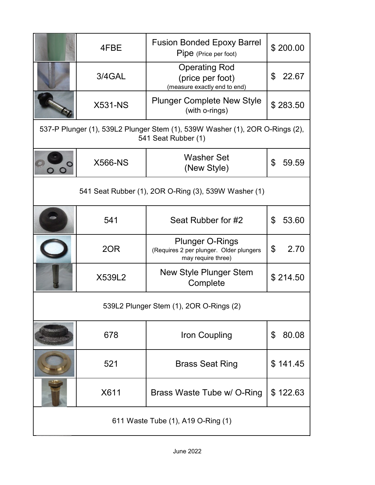|                                                                                                     | 4FBE           | <b>Fusion Bonded Epoxy Barrel</b><br>Pipe (Price per foot)                              | \$200.00                |
|-----------------------------------------------------------------------------------------------------|----------------|-----------------------------------------------------------------------------------------|-------------------------|
|                                                                                                     | 3/4GAL         | <b>Operating Rod</b><br>(price per foot)<br>(measure exactly end to end)                | \$<br>22.67             |
|                                                                                                     | <b>X531-NS</b> | <b>Plunger Complete New Style</b><br>(with o-rings)                                     | \$283.50                |
| 537-P Plunger (1), 539L2 Plunger Stem (1), 539W Washer (1), 2OR O-Rings (2),<br>541 Seat Rubber (1) |                |                                                                                         |                         |
|                                                                                                     | <b>X566-NS</b> | <b>Washer Set</b><br>(New Style)                                                        | $\mathfrak{P}$<br>59.59 |
|                                                                                                     |                | 541 Seat Rubber (1), 2OR O-Ring (3), 539W Washer (1)                                    |                         |
|                                                                                                     | 541            | Seat Rubber for #2                                                                      | \$<br>53.60             |
|                                                                                                     | 2OR            | <b>Plunger O-Rings</b><br>(Requires 2 per plunger. Older plungers<br>may require three) | \$<br>2.70              |
|                                                                                                     | X539L2         | <b>New Style Plunger Stem</b><br>Complete                                               | \$214.50                |
| 539L2 Plunger Stem (1), 2OR O-Rings (2)                                                             |                |                                                                                         |                         |
|                                                                                                     | 678            | <b>Iron Coupling</b>                                                                    | \$<br>80.08             |
|                                                                                                     | 521            | <b>Brass Seat Ring</b>                                                                  | \$141.45                |
|                                                                                                     | X611           | Brass Waste Tube w/ O-Ring                                                              | \$122.63                |
| 611 Waste Tube (1), A19 O-Ring (1)                                                                  |                |                                                                                         |                         |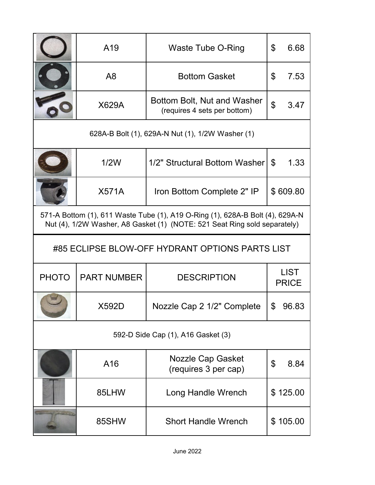|                                                                                                                                                            | A19                | <b>Waste Tube O-Ring</b>                                    | \$                         | 6.68                        |
|------------------------------------------------------------------------------------------------------------------------------------------------------------|--------------------|-------------------------------------------------------------|----------------------------|-----------------------------|
|                                                                                                                                                            | A <sub>8</sub>     | <b>Bottom Gasket</b>                                        | $\boldsymbol{\mathcal{S}}$ | 7.53                        |
|                                                                                                                                                            | X629A              | Bottom Bolt, Nut and Washer<br>(requires 4 sets per bottom) | \$                         | 3.47                        |
| 628A-B Bolt (1), 629A-N Nut (1), 1/2W Washer (1)                                                                                                           |                    |                                                             |                            |                             |
|                                                                                                                                                            | 1/2W               | 1/2" Structural Bottom Washer                               | \$                         | 1.33                        |
|                                                                                                                                                            | <b>X571A</b>       | Iron Bottom Complete 2" IP                                  |                            | \$609.80                    |
| 571-A Bottom (1), 611 Waste Tube (1), A19 O-Ring (1), 628A-B Bolt (4), 629A-N<br>Nut (4), 1/2W Washer, A8 Gasket (1) (NOTE: 521 Seat Ring sold separately) |                    |                                                             |                            |                             |
|                                                                                                                                                            |                    |                                                             |                            |                             |
|                                                                                                                                                            |                    | #85 ECLIPSE BLOW-OFF HYDRANT OPTIONS PARTS LIST             |                            |                             |
| <b>PHOTO</b>                                                                                                                                               | <b>PART NUMBER</b> | <b>DESCRIPTION</b>                                          |                            | <b>LIST</b><br><b>PRICE</b> |
|                                                                                                                                                            | X592D              | Nozzle Cap 2 1/2" Complete                                  |                            | 96.83                       |
|                                                                                                                                                            |                    | 592-D Side Cap (1), A16 Gasket (3)                          |                            |                             |
|                                                                                                                                                            | A16                | Nozzle Cap Gasket<br>(requires 3 per cap)                   | \$                         | 8.84                        |
|                                                                                                                                                            | 85LHW              | Long Handle Wrench                                          |                            | \$125.00                    |